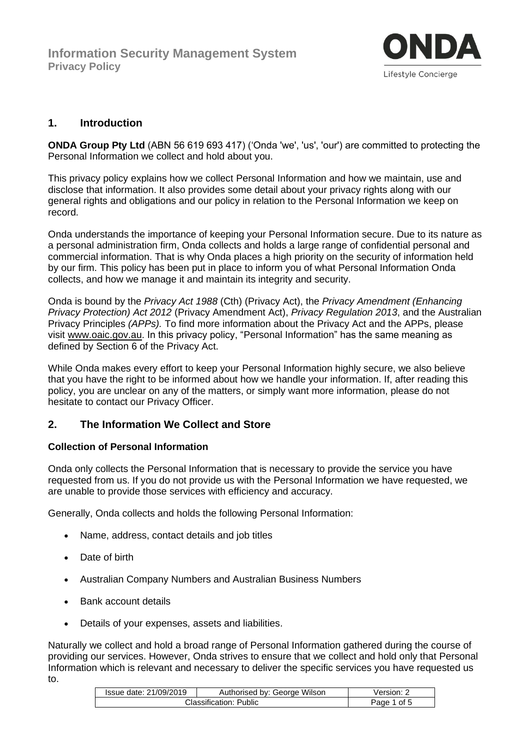

## **1. Introduction**

**ONDA Group Pty Ltd** (ABN 56 619 693 417) ('Onda 'we', 'us', 'our') are committed to protecting the Personal Information we collect and hold about you.

This privacy policy explains how we collect Personal Information and how we maintain, use and disclose that information. It also provides some detail about your privacy rights along with our general rights and obligations and our policy in relation to the Personal Information we keep on record.

Onda understands the importance of keeping your Personal Information secure. Due to its nature as a personal administration firm, Onda collects and holds a large range of confidential personal and commercial information. That is why Onda places a high priority on the security of information held by our firm. This policy has been put in place to inform you of what Personal Information Onda collects, and how we manage it and maintain its integrity and security.

Onda is bound by the *Privacy Act 1988* (Cth) (Privacy Act), the *Privacy Amendment (Enhancing Privacy Protection) Act 2012* (Privacy Amendment Act), *Privacy Regulation 2013*, and the Australian Privacy Principles *(APPs).* To find more information about the Privacy Act and the APPs, please visit [www.oaic.gov.au.](http://www.oaic.gov.au/) In this privacy policy, "Personal Information" has the same meaning as defined by Section 6 of the Privacy Act.

While Onda makes every effort to keep your Personal Information highly secure, we also believe that you have the right to be informed about how we handle your information. If, after reading this policy, you are unclear on any of the matters, or simply want more information, please do not hesitate to contact our Privacy Officer.

## **2. The Information We Collect and Store**

### **Collection of Personal Information**

Onda only collects the Personal Information that is necessary to provide the service you have requested from us. If you do not provide us with the Personal Information we have requested, we are unable to provide those services with efficiency and accuracy.

Generally, Onda collects and holds the following Personal Information:

- Name, address, contact details and job titles
- Date of birth
- Australian Company Numbers and Australian Business Numbers
- Bank account details
- Details of your expenses, assets and liabilities.

Naturally we collect and hold a broad range of Personal Information gathered during the course of providing our services. However, Onda strives to ensure that we collect and hold only that Personal Information which is relevant and necessary to deliver the specific services you have requested us to.

| Issue date: 21/09/2019 | Authorised by: George Wilson | Version: 2   |
|------------------------|------------------------------|--------------|
| Classification: Public |                              | of 5<br>Page |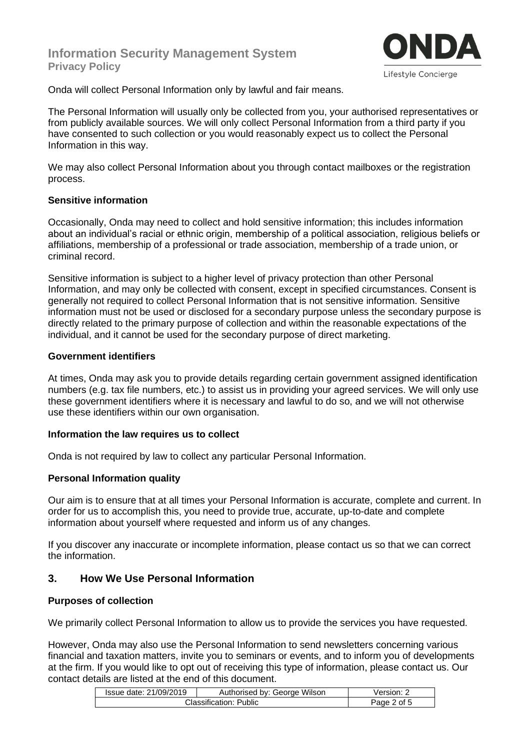# **Information Security Management System Privacy Policy**



Onda will collect Personal Information only by lawful and fair means.

The Personal Information will usually only be collected from you, your authorised representatives or from publicly available sources. We will only collect Personal Information from a third party if you have consented to such collection or you would reasonably expect us to collect the Personal Information in this way.

We may also collect Personal Information about you through contact mailboxes or the registration process.

#### **Sensitive information**

Occasionally, Onda may need to collect and hold sensitive information; this includes information about an individual's racial or ethnic origin, membership of a political association, religious beliefs or affiliations, membership of a professional or trade association, membership of a trade union, or criminal record.

Sensitive information is subject to a higher level of privacy protection than other Personal Information, and may only be collected with consent, except in specified circumstances. Consent is generally not required to collect Personal Information that is not sensitive information. Sensitive information must not be used or disclosed for a secondary purpose unless the secondary purpose is directly related to the primary purpose of collection and within the reasonable expectations of the individual, and it cannot be used for the secondary purpose of direct marketing.

#### **Government identifiers**

At times, Onda may ask you to provide details regarding certain government assigned identification numbers (e.g. tax file numbers, etc.) to assist us in providing your agreed services. We will only use these government identifiers where it is necessary and lawful to do so, and we will not otherwise use these identifiers within our own organisation.

### **Information the law requires us to collect**

Onda is not required by law to collect any particular Personal Information.

### **Personal Information quality**

Our aim is to ensure that at all times your Personal Information is accurate, complete and current. In order for us to accomplish this, you need to provide true, accurate, up-to-date and complete information about yourself where requested and inform us of any changes.

If you discover any inaccurate or incomplete information, please contact us so that we can correct the information.

### **3. How We Use Personal Information**

### **Purposes of collection**

We primarily collect Personal Information to allow us to provide the services you have requested.

However, Onda may also use the Personal Information to send newsletters concerning various financial and taxation matters, invite you to seminars or events, and to inform you of developments at the firm. If you would like to opt out of receiving this type of information, please contact us. Our contact details are listed at the end of this document.

| Issue date: 21/09/2019        | Authorised by: George Wilson | Version:       |
|-------------------------------|------------------------------|----------------|
| <b>Classification: Public</b> |                              | 2 of 5<br>Page |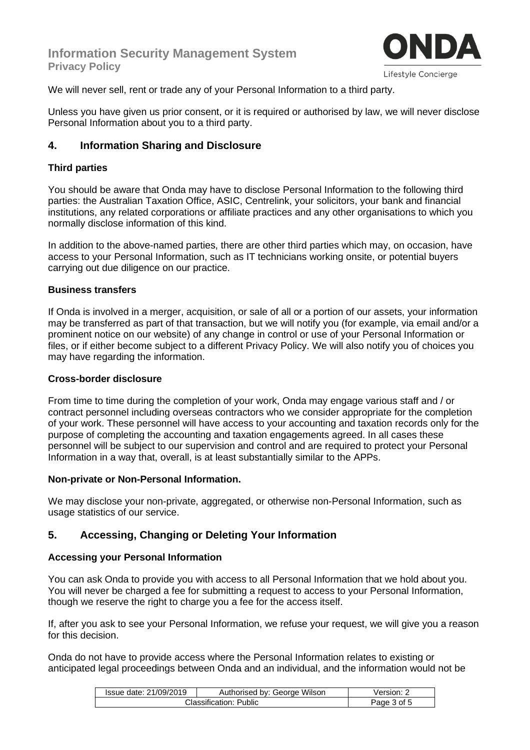

We will never sell, rent or trade any of your Personal Information to a third party.

Unless you have given us prior consent, or it is required or authorised by law, we will never disclose Personal Information about you to a third party.

# **4. Information Sharing and Disclosure**

### **Third parties**

You should be aware that Onda may have to disclose Personal Information to the following third parties: the Australian Taxation Office, ASIC, Centrelink, your solicitors, your bank and financial institutions, any related corporations or affiliate practices and any other organisations to which you normally disclose information of this kind.

In addition to the above-named parties, there are other third parties which may, on occasion, have access to your Personal Information, such as IT technicians working onsite, or potential buyers carrying out due diligence on our practice.

### **Business transfers**

If Onda is involved in a merger, acquisition, or sale of all or a portion of our assets, your information may be transferred as part of that transaction, but we will notify you (for example, via email and/or a prominent notice on our website) of any change in control or use of your Personal Information or files, or if either become subject to a different Privacy Policy. We will also notify you of choices you may have regarding the information.

### **Cross-border disclosure**

From time to time during the completion of your work, Onda may engage various staff and / or contract personnel including overseas contractors who we consider appropriate for the completion of your work. These personnel will have access to your accounting and taxation records only for the purpose of completing the accounting and taxation engagements agreed. In all cases these personnel will be subject to our supervision and control and are required to protect your Personal Information in a way that, overall, is at least substantially similar to the APPs.

### **Non-private or Non-Personal Information.**

We may disclose your non-private, aggregated, or otherwise non-Personal Information, such as usage statistics of our service.

# **5. Accessing, Changing or Deleting Your Information**

## **Accessing your Personal Information**

You can ask Onda to provide you with access to all Personal Information that we hold about you. You will never be charged a fee for submitting a request to access to your Personal Information, though we reserve the right to charge you a fee for the access itself.

If, after you ask to see your Personal Information, we refuse your request, we will give you a reason for this decision.

Onda do not have to provide access where the Personal Information relates to existing or anticipated legal proceedings between Onda and an individual, and the information would not be

| Issue date: 21/09/2019 | Authorised by: George Wilson | √ersion:    |
|------------------------|------------------------------|-------------|
| Classification: Public |                              | Page 3 of 5 |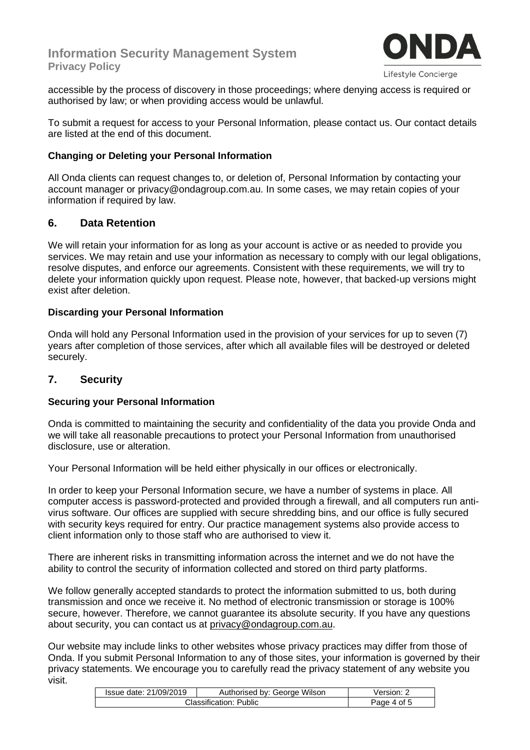# **Information Security Management System Privacy Policy**



Lifestyle Concierge

accessible by the process of discovery in those proceedings; where denying access is required or authorised by law; or when providing access would be unlawful.

To submit a request for access to your Personal Information, please contact us. Our contact details are listed at the end of this document.

### **Changing or Deleting your Personal Information**

All Onda clients can request changes to, or deletion of, Personal Information by contacting your account manager or privacy@ondagroup.com.au. In some cases, we may retain copies of your information if required by law.

### **6. Data Retention**

We will retain your information for as long as your account is active or as needed to provide you services. We may retain and use your information as necessary to comply with our legal obligations, resolve disputes, and enforce our agreements. Consistent with these requirements, we will try to delete your information quickly upon request. Please note, however, that backed-up versions might exist after deletion.

### **Discarding your Personal Information**

Onda will hold any Personal Information used in the provision of your services for up to seven (7) years after completion of those services, after which all available files will be destroyed or deleted securely.

## **7. Security**

### **Securing your Personal Information**

Onda is committed to maintaining the security and confidentiality of the data you provide Onda and we will take all reasonable precautions to protect your Personal Information from unauthorised disclosure, use or alteration.

Your Personal Information will be held either physically in our offices or electronically.

In order to keep your Personal Information secure, we have a number of systems in place. All computer access is password-protected and provided through a firewall, and all computers run antivirus software. Our offices are supplied with secure shredding bins, and our office is fully secured with security keys required for entry. Our practice management systems also provide access to client information only to those staff who are authorised to view it.

There are inherent risks in transmitting information across the internet and we do not have the ability to control the security of information collected and stored on third party platforms.

We follow generally accepted standards to protect the information submitted to us, both during transmission and once we receive it. No method of electronic transmission or storage is 100% secure, however. Therefore, we cannot guarantee its absolute security. If you have any questions about security, you can contact us at [privacy@ondagroup.com.au.](mailto:privacy@ondagroup.com.au)

Our website may include links to other websites whose privacy practices may differ from those of Onda. If you submit Personal Information to any of those sites, your information is governed by their privacy statements. We encourage you to carefully read the privacy statement of any website you visit.

| Issue date: 21/09/2019 | Authorised by: George Wilson | version:    |
|------------------------|------------------------------|-------------|
| Classification: Public |                              | Page 4 of 5 |